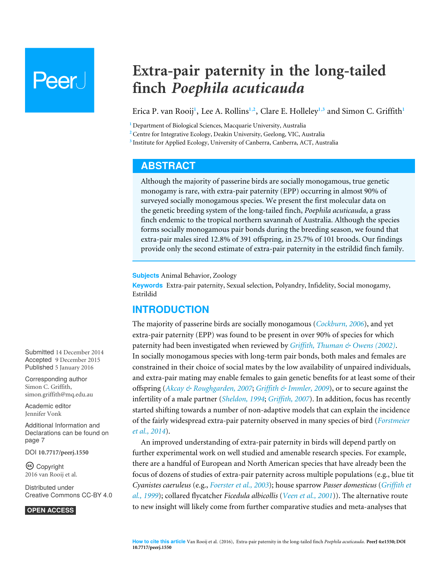# Peer l

## **Extra-pair paternity in the long-tailed finch** *Poephila acuticauda*

<span id="page-0-5"></span><span id="page-0-4"></span><span id="page-0-3"></span>Erica P. van Rooij**[1](#page-0-0)** , Lee A. Rollins**[1](#page-0-0)**,**[2](#page-0-1)** , Clare E. Holleley**[1](#page-0-0)**,**[3](#page-0-2)** and Simon C. Griffith**[1](#page-0-0)**

<span id="page-0-0"></span>**<sup>1</sup>** Department of Biological Sciences, Macquarie University, Australia

<span id="page-0-1"></span>**<sup>2</sup>** Centre for Integrative Ecology, Deakin University, Geelong, VIC, Australia

<span id="page-0-2"></span>**3** Institute for Applied Ecology, University of Canberra, Canberra, ACT, Australia

## <span id="page-0-6"></span>**ABSTRACT**

Although the majority of passerine birds are socially monogamous, true genetic monogamy is rare, with extra-pair paternity (EPP) occurring in almost 90% of surveyed socially monogamous species. We present the first molecular data on the genetic breeding system of the long-tailed finch, *Poephila acuticauda*, a grass finch endemic to the tropical northern savannah of Australia. Although the species forms socially monogamous pair bonds during the breeding season, we found that extra-pair males sired 12.8% of 391 offspring, in 25.7% of 101 broods. Our findings provide only the second estimate of extra-pair paternity in the estrildid finch family.

**Subjects** Animal Behavior, Zoology

**Keywords** Extra-pair paternity, Sexual selection, Polyandry, Infidelity, Social monogamy, Estrildid

## **INTRODUCTION**

The majority of passerine birds are socially monogamous (*[Cockburn, 2006](#page-8-0)*), and yet extra-pair paternity (EPP) was found to be present in over 90% of species for which paternity had been investigated when reviewed by *[Griffith, Thuman & Owens \(2002\)](#page-8-1)*. In socially monogamous species with long-term pair bonds, both males and females are constrained in their choice of social mates by the low availability of unpaired individuals, and extra-pair mating may enable females to gain genetic benefits for at least some of their offspring (*[Akcay & Roughgarden, 2007](#page-7-0)*; *[Griffith & Immler, 2009](#page-8-2)*), or to secure against the infertility of a male partner (*[Sheldon, 1994](#page-9-0)*; *[Griffith, 2007](#page-8-3)*). In addition, focus has recently started shifting towards a number of non-adaptive models that can explain the incidence of the fairly widespread extra-pair paternity observed in many species of bird (*[Forstmeier](#page-8-4) [et al., 2014](#page-8-4)*).

An improved understanding of extra-pair paternity in birds will depend partly on further experimental work on well studied and amenable research species. For example, there are a handful of European and North American species that have already been the focus of dozens of studies of extra-pair paternity across multiple populations (e.g., blue tit *Cyanistes caeruleus* (e.g., *[Foerster et al., 2003](#page-8-5)*); house sparrow *Passer domesticus* (*[Griffith et](#page-8-6) [al., 1999](#page-8-6)*); collared flycatcher *Ficedula albicollis* (*[Veen et al., 2001](#page-9-1)*)). The alternative route to new insight will likely come from further comparative studies and meta-analyses that

Submitted 14 December 2014 Accepted 9 December 2015 Published 5 January 2016

Corresponding author Simon C. Griffith, [simon.griffith@mq.edu.au](mailto:simon.griffith@mq.edu.au)

[Academic editor](https://peerj.com/academic-boards/editors/) [Jennifer Vonk](https://peerj.com/academic-boards/editors/)

[Additional Information and](#page-6-0) [Declarations can be found on](#page-6-0) [page 7](#page-6-0)

DOI **[10.7717/peerj.1550](http://dx.doi.org/10.7717/peerj.1550)**

Ccopyright 2016 van Rooij et al.

[Distributed under](http://creativecommons.or/licenses/by/4.0/) [Creative Commons CC-BY 4.0](http://creativecommons.or/licenses/by/4.0/)

**OPEN ACCESS**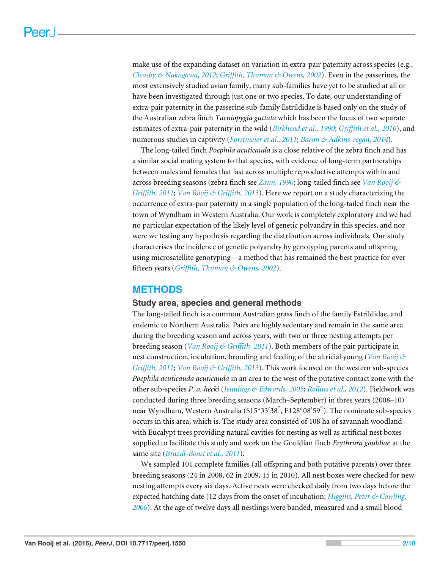make use of the expanding dataset on variation in extra-pair paternity across species (e.g., *[Cleasby & Nakagawa, 2012](#page-8-7)*; *[Griffith, Thuman & Owens, 2002](#page-8-1)*). Even in the passerines, the most extensively studied avian family, many sub-families have yet to be studied at all or have been investigated through just one or two species. To date, our understanding of extra-pair paternity in the passerine sub-family Estrildidae is based only on the study of the Australian zebra finch *Taeniopygia guttata* which has been the focus of two separate estimates of extra-pair paternity in the wild (*[Birkhead et al., 1990](#page-7-1)*; *[Griffith et al., 2010](#page-8-8)*), and numerous studies in captivity (*[Forstmeier et al., 2011](#page-8-9)*; *[Baran & Adkins-regan, 2014](#page-7-2)*).

The long-tailed finch *Poephila acuticauda* is a close relative of the zebra finch and has a similar social mating system to that species, with evidence of long-term partnerships between males and females that last across multiple reproductive attempts within and across breeding seasons (zebra finch see *[Zann, 1996](#page-9-2)*; long-tailed finch see *[Van Rooij &](#page-9-3) [Griffith, 2011](#page-9-3)*; *[Van Rooij & Griffith, 2013](#page-9-4)*). Here we report on a study characterizing the occurrence of extra-pair paternity in a single population of the long-tailed finch near the town of Wyndham in Western Australia. Our work is completely exploratory and we had no particular expectation of the likely level of genetic polyandry in this species, and nor were we testing any hypothesis regarding the distribution across individuals. Our study characterises the incidence of genetic polyandry by genotyping parents and offspring using microsatellite genotyping—a method that has remained the best practice for over fifteen years (*[Griffith, Thuman & Owens, 2002](#page-8-1)*).

## **METHODS**

### **Study area, species and general methods**

The long-tailed finch is a common Australian grass finch of the family Estrildidae, and endemic to Northern Australia. Pairs are highly sedentary and remain in the same area during the breeding season and across years, with two or three nesting attempts per breeding season (*[Van Rooij & Griffith, 2011](#page-9-3)*). Both members of the pair participate in nest construction, incubation, brooding and feeding of the altricial young (*[Van Rooij &](#page-9-3) [Griffith, 2011](#page-9-3)*; *[Van Rooij & Griffith, 2013](#page-9-4)*). This work focused on the western sub-species *Poephila acuticauda acuticauda* in an area to the west of the putative contact zone with the other sub-species *P. a. hecki* (*[Jennings & Edwards, 2005](#page-8-10)*; *[Rollins et al., 2012](#page-9-5)*). Fieldwork was conducted during three breeding seasons (March–September) in three years (2008–10) near Wyndham, Western Australia (S15°33′38<sup>″</sup>, E128°08′59<sup>″</sup>). The nominate sub-species occurs in this area, which is. The study area consisted of 108 ha of savannah woodland with Eucalypt trees providing natural cavities for nesting as well as artificial nest boxes supplied to facilitate this study and work on the Gouldian finch *Erythrura gouldiae* at the same site (*[Brazill-Boast et al., 2011](#page-8-11)*).

We sampled 101 complete families (all offspring and both putative parents) over three breeding seasons (24 in 2008, 62 in 2009, 15 in 2010). All nest boxes were checked for new nesting attempts every six days. Active nests were checked daily from two days before the expected hatching date (12 days from the onset of incubation; *[Higgins, Peter & Cowling,](#page-8-12) [2006](#page-8-12)*). At the age of twelve days all nestlings were banded, measured and a small blood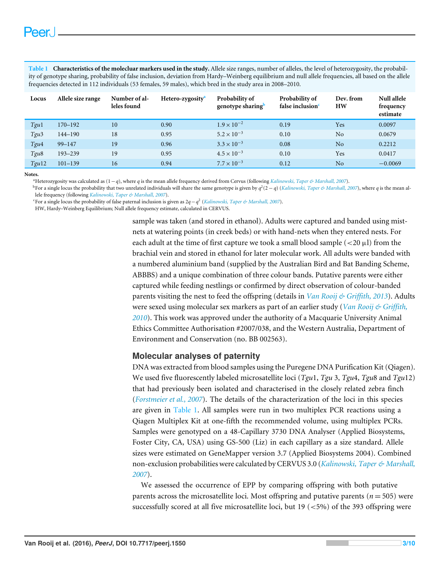<span id="page-2-3"></span>**Table 1 Characteristics of the molecluar markers used in the study.** Allele size ranges, number of alleles, the level of heterozygosity, the probability of genotype sharing, probability of false inclusion, deviation from Hardy–Weinberg equilibrium and null allele frequencies, all based on the allele frequencies detected in 112 individuals (53 females, 59 males), which bred in the study area in 2008–2010.

| Locus            | Allele size range | Number of al-<br>leles found | Hetero-zygosity <sup>a</sup> | Probability of<br>genotype sharing <sup>b</sup> | Probability of<br>false inclusion <sup>c</sup> | Dev. from<br>HW | Null allele<br>frequency<br>estimate |
|------------------|-------------------|------------------------------|------------------------------|-------------------------------------------------|------------------------------------------------|-----------------|--------------------------------------|
| Tgu1             | $170 - 192$       | 10                           | 0.90                         | $1.9 \times 10^{-2}$                            | 0.19                                           | Yes             | 0.0097                               |
| Tgu <sub>3</sub> | $144 - 190$       | 18                           | 0.95                         | $5.2 \times 10^{-3}$                            | 0.10                                           | N <sub>o</sub>  | 0.0679                               |
| Tgu4             | $99 - 147$        | 19                           | 0.96                         | $3.3 \times 10^{-3}$                            | 0.08                                           | No              | 0.2212                               |
| Tgu <sub>8</sub> | 193-239           | 19                           | 0.95                         | $4.5 \times 10^{-3}$                            | 0.10                                           | Yes             | 0.0417                               |
| Tgu12            | $101 - 139$       | 16                           | 0.94                         | $7.7 \times 10^{-3}$                            | 0.12                                           | No              | $-0.0069$                            |

<span id="page-2-0"></span>**Notes.**

<span id="page-2-1"></span><sup>a</sup>Heterozygosity was calculated as (1−*q*), where *q* is the mean allele frequency derived from Cervus (following *[Kalinowski, Taper & Marshall, 2007](#page-9-6)*).

bFor a single locus the probability that two unrelated individuals will share the same genotype is given by  $q^2(2-q)$  (*[Kalinowski, Taper & Marshall, 2007](#page-9-6)*), where q is the mean allele frequency (following *[Kalinowski, Taper & Marshall, 2007](#page-9-6)*).

<span id="page-2-2"></span><sup>c</sup>For a single locus the probability of false paternal inclusion is given as 2*q*−*q* 2 (*[Kalinowski, Taper & Marshall, 2007](#page-9-6)*).

HW, Hardy–Weinberg Equilibrium; Null allele frequency estimate, calculated in CERVUS.

sample was taken (and stored in ethanol). Adults were captured and banded using mistnets at watering points (in creek beds) or with hand-nets when they entered nests. For each adult at the time of first capture we took a small blood sample  $(<20 \mu$ l) from the brachial vein and stored in ethanol for later molecular work. All adults were banded with a numbered aluminium band (supplied by the Australian Bird and Bat Banding Scheme, ABBBS) and a unique combination of three colour bands. Putative parents were either captured while feeding nestlings or confirmed by direct observation of colour-banded parents visiting the nest to feed the offspring (details in *[Van Rooij & Griffith, 2013](#page-9-4)*). Adults were sexed using molecular sex markers as part of an earlier study (*[Van Rooij & Griffith,](#page-9-7) [2010](#page-9-7)*). This work was approved under the authority of a Macquarie University Animal Ethics Committee Authorisation #2007/038, and the Western Australia, Department of Environment and Conservation (no. BB 002563).

#### **Molecular analyses of paternity**

DNA was extracted from blood samples using the Puregene DNA Purification Kit (Qiagen). We used five fluorescently labeled microsatellite loci (*Tgu*1, *Tgu* 3, *Tgu*4, *Tgu*8 and *Tgu*12) that had previously been isolated and characterised in the closely related zebra finch (*[Forstmeier et al., 2007](#page-8-13)*). The details of the characterization of the loci in this species are given in [Table 1.](#page-2-3) All samples were run in two multiplex PCR reactions using a Qiagen Multiplex Kit at one-fifth the recommended volume, using multiplex PCRs. Samples were genotyped on a 48-Capillary 3730 DNA Analyser (Applied Biosystems, Foster City, CA, USA) using GS-500 (Liz) in each capillary as a size standard. Allele sizes were estimated on GeneMapper version 3.7 (Applied Biosystems 2004). Combined non-exclusion probabilities were calculated by CERVUS 3.0 (*[Kalinowski, Taper & Marshall,](#page-9-6) [2007](#page-9-6)*).

We assessed the occurrence of EPP by comparing offspring with both putative parents across the microsatellite loci. Most offspring and putative parents ( $n = 505$ ) were successfully scored at all five microsatellite loci, but  $19$  ( $< 5\%$ ) of the 393 offspring were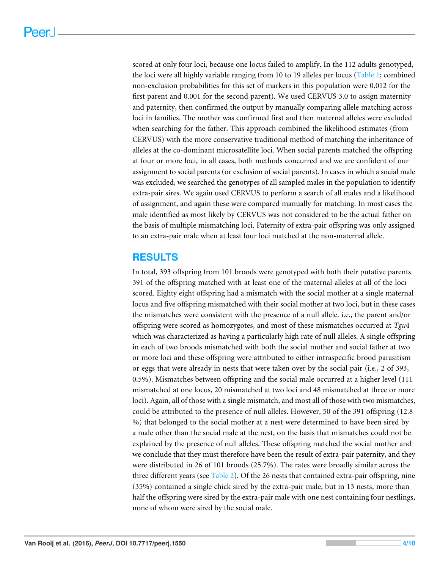scored at only four loci, because one locus failed to amplify. In the 112 adults genotyped, the loci were all highly variable ranging from 10 to 19 alleles per locus [\(Table 1;](#page-2-3) combined non-exclusion probabilities for this set of markers in this population were 0.012 for the first parent and 0.001 for the second parent). We used CERVUS 3.0 to assign maternity and paternity, then confirmed the output by manually comparing allele matching across loci in families. The mother was confirmed first and then maternal alleles were excluded when searching for the father. This approach combined the likelihood estimates (from CERVUS) with the more conservative traditional method of matching the inheritance of alleles at the co-dominant microsatellite loci. When social parents matched the offspring at four or more loci, in all cases, both methods concurred and we are confident of our assignment to social parents (or exclusion of social parents). In cases in which a social male was excluded, we searched the genotypes of all sampled males in the population to identify extra-pair sires. We again used CERVUS to perform a search of all males and a likelihood of assignment, and again these were compared manually for matching. In most cases the male identified as most likely by CERVUS was not considered to be the actual father on the basis of multiple mismatching loci. Paternity of extra-pair offspring was only assigned to an extra-pair male when at least four loci matched at the non-maternal allele.

## **RESULTS**

In total, 393 offspring from 101 broods were genotyped with both their putative parents. 391 of the offspring matched with at least one of the maternal alleles at all of the loci scored. Eighty eight offspring had a mismatch with the social mother at a single maternal locus and five offspring mismatched with their social mother at two loci, but in these cases the mismatches were consistent with the presence of a null allele. i.e., the parent and/or offspring were scored as homozygotes, and most of these mismatches occurred at *Tgu*4 which was characterized as having a particularly high rate of null alleles. A single offspring in each of two broods mismatched with both the social mother and social father at two or more loci and these offspring were attributed to either intraspecific brood parasitism or eggs that were already in nests that were taken over by the social pair (i.e., 2 of 393, 0.5%). Mismatches between offspring and the social male occurred at a higher level (111 mismatched at one locus, 20 mismatched at two loci and 48 mismatched at three or more loci). Again, all of those with a single mismatch, and most all of those with two mismatches, could be attributed to the presence of null alleles. However, 50 of the 391 offspring (12.8 %) that belonged to the social mother at a nest were determined to have been sired by a male other than the social male at the nest, on the basis that mismatches could not be explained by the presence of null alleles. These offspring matched the social mother and we conclude that they must therefore have been the result of extra-pair paternity, and they were distributed in 26 of 101 broods (25.7%). The rates were broadly similar across the three different years (see [Table 2\)](#page-4-0). Of the 26 nests that contained extra-pair offspring, nine (35%) contained a single chick sired by the extra-pair male, but in 13 nests, more than half the offspring were sired by the extra-pair male with one nest containing four nestlings, none of whom were sired by the social male.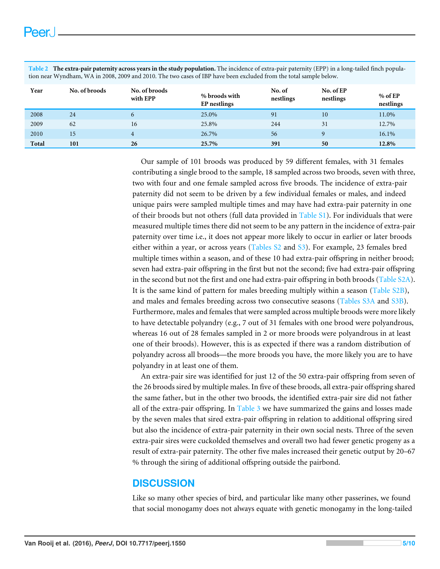| tion near wynemani, wir in 2000, 2009 and 2010. The two cases of ibi-nave been excluded from the total sample below. |               |                           |                               |                     |                        |                        |  |
|----------------------------------------------------------------------------------------------------------------------|---------------|---------------------------|-------------------------------|---------------------|------------------------|------------------------|--|
| Year                                                                                                                 | No. of broods | No. of broods<br>with EPP | % broods with<br>EP nestlings | No. of<br>nestlings | No. of EP<br>nestlings | $%$ of EP<br>nestlings |  |
| 2008                                                                                                                 | 24            | 6                         | 25.0%                         | 91                  | 10                     | 11.0%                  |  |
| 2009                                                                                                                 | 62            | 16                        | 25.8%                         | 244                 | 31                     | 12.7%                  |  |
| 2010                                                                                                                 | 15            | 4                         | 26.7%                         | 56                  |                        | 16.1%                  |  |
| Total                                                                                                                | 101           | 26                        | 25.7%                         | 391                 | 50                     | 12.8%                  |  |

<span id="page-4-0"></span>**Table 2 The extra-pair paternity across years in the study population.** The incidence of extra-pair paternity (EPP) in a long-tailed finch population near Wyndham, WA in 2008, 2009 and 2010. The two cases of IBP have been excluded from the total sample below.

> Our sample of 101 broods was produced by 59 different females, with 31 females contributing a single brood to the sample, 18 sampled across two broods, seven with three, two with four and one female sampled across five broods. The incidence of extra-pair paternity did not seem to be driven by a few individual females or males, and indeed unique pairs were sampled multiple times and may have had extra-pair paternity in one of their broods but not others (full data provided in [Table S1\)](http://dx.doi.org/10.7717/peerj.1550/supp-1). For individuals that were measured multiple times there did not seem to be any pattern in the incidence of extra-pair paternity over time i.e., it does not appear more likely to occur in earlier or later broods either within a year, or across years [\(Tables S2](http://dx.doi.org/10.7717/peerj.1550/supp-2) and [S3\)](http://dx.doi.org/10.7717/peerj.1550/supp-3). For example, 23 females bred multiple times within a season, and of these 10 had extra-pair offspring in neither brood; seven had extra-pair offspring in the first but not the second; five had extra-pair offspring in the second but not the first and one had extra-pair offspring in both broods [\(Table S2A\)](http://dx.doi.org/10.7717/peerj.1550/supp-2). It is the same kind of pattern for males breeding multiply within a season [\(Table S2B\)](http://dx.doi.org/10.7717/peerj.1550/supp-2), and males and females breeding across two consecutive seasons [\(Tables S3A](http://dx.doi.org/10.7717/peerj.1550/supp-3) and [S3B\)](http://dx.doi.org/10.7717/peerj.1550/supp-3). Furthermore, males and females that were sampled across multiple broods were more likely to have detectable polyandry (e.g., 7 out of 31 females with one brood were polyandrous, whereas 16 out of 28 females sampled in 2 or more broods were polyandrous in at least one of their broods). However, this is as expected if there was a random distribution of polyandry across all broods—the more broods you have, the more likely you are to have polyandry in at least one of them.

> An extra-pair sire was identified for just 12 of the 50 extra-pair offspring from seven of the 26 broods sired by multiple males. In five of these broods, all extra-pair offspring shared the same father, but in the other two broods, the identified extra-pair sire did not father all of the extra-pair offspring. In Table  $3$  we have summarized the gains and losses made by the seven males that sired extra-pair offspring in relation to additional offspring sired but also the incidence of extra-pair paternity in their own social nests. Three of the seven extra-pair sires were cuckolded themselves and overall two had fewer genetic progeny as a result of extra-pair paternity. The other five males increased their genetic output by 20–67 % through the siring of additional offspring outside the pairbond.

## **DISCUSSION**

Like so many other species of bird, and particular like many other passerines, we found that social monogamy does not always equate with genetic monogamy in the long-tailed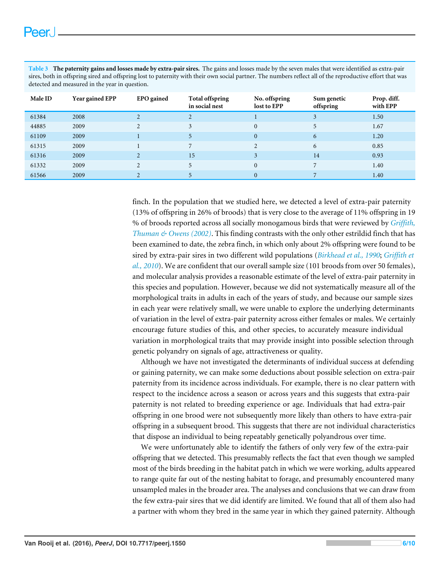| sires, both in offspring sired and offspring lost to paternity with their own social partner. The numbers reflect all of the reproductive effort that was<br>detected and measured in the year in question. |                 |                   |                                          |                              |                          |                         |  |
|-------------------------------------------------------------------------------------------------------------------------------------------------------------------------------------------------------------|-----------------|-------------------|------------------------------------------|------------------------------|--------------------------|-------------------------|--|
| <b>Male ID</b>                                                                                                                                                                                              | Year gained EPP | <b>EPO</b> gained | <b>Total offspring</b><br>in social nest | No. offspring<br>lost to EPP | Sum genetic<br>offspring | Prop. diff.<br>with EPP |  |
| 61384                                                                                                                                                                                                       | 2008            |                   |                                          |                              |                          | 1.50                    |  |
| 44885                                                                                                                                                                                                       | 2009            |                   |                                          |                              |                          | 1.67                    |  |

 $61109$  2009 1 5 0 6 1.20 61315 2009 1 7 2 6 0.85 61316 2009 2 15 3 14 0.93 61332 2009 2 5 0 7 1.40  $61566$  2009 2 5 0 7 1.40

<span id="page-5-0"></span>**Table 3 The paternity gains and losses made by extra-pair sires.** The gains and losses made by the seven males that were identified as extra-pair

finch. In the population that we studied here, we detected a level of extra-pair paternity (13% of offspring in 26% of broods) that is very close to the average of 11% offspring in 19 % of broods reported across all socially monogamous birds that were reviewed by *[Griffith,](#page-8-1) [Thuman & Owens \(2002\)](#page-8-1)*. This finding contrasts with the only other estrildid finch that has been examined to date, the zebra finch, in which only about 2% offspring were found to be sired by extra-pair sires in two different wild populations (*[Birkhead et al., 1990](#page-7-1)*; *[Griffith et](#page-8-8) [al., 2010](#page-8-8)*). We are confident that our overall sample size (101 broods from over 50 females), and molecular analysis provides a reasonable estimate of the level of extra-pair paternity in this species and population. However, because we did not systematically measure all of the morphological traits in adults in each of the years of study, and because our sample sizes in each year were relatively small, we were unable to explore the underlying determinants of variation in the level of extra-pair paternity across either females or males. We certainly encourage future studies of this, and other species, to accurately measure individual variation in morphological traits that may provide insight into possible selection through genetic polyandry on signals of age, attractiveness or quality.

Although we have not investigated the determinants of individual success at defending or gaining paternity, we can make some deductions about possible selection on extra-pair paternity from its incidence across individuals. For example, there is no clear pattern with respect to the incidence across a season or across years and this suggests that extra-pair paternity is not related to breeding experience or age. Individuals that had extra-pair offspring in one brood were not subsequently more likely than others to have extra-pair offspring in a subsequent brood. This suggests that there are not individual characteristics that dispose an individual to being repeatably genetically polyandrous over time.

We were unfortunately able to identify the fathers of only very few of the extra-pair offspring that we detected. This presumably reflects the fact that even though we sampled most of the birds breeding in the habitat patch in which we were working, adults appeared to range quite far out of the nesting habitat to forage, and presumably encountered many unsampled males in the broader area. The analyses and conclusions that we can draw from the few extra-pair sires that we did identify are limited. We found that all of them also had a partner with whom they bred in the same year in which they gained paternity. Although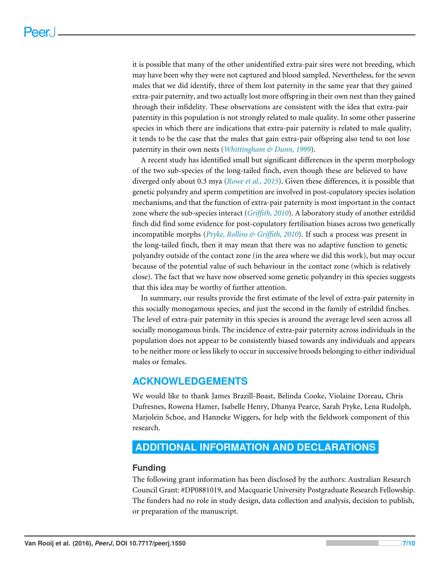it is possible that many of the other unidentified extra-pair sires were not breeding, which may have been why they were not captured and blood sampled. Nevertheless, for the seven males that we did identify, three of them lost paternity in the same year that they gained extra-pair paternity, and two actually lost more offspring in their own nest than they gained through their infidelity. These observations are consistent with the idea that extra-pair paternity in this population is not strongly related to male quality. In some other passerine species in which there are indications that extra-pair paternity is related to male quality, it tends to be the case that the males that gain extra-pair offspring also tend to not lose paternity in their own nests (*[Whittingham & Dunn, 1999](#page-9-8)*).

A recent study has identified small but significant differences in the sperm morphology of the two sub-species of the long-tailed finch, even though these are believed to have diverged only about 0.3 mya (*[Rowe et al., 2015](#page-9-9)*). Given these differences, it is possible that genetic polyandry and sperm competition are involved in post-copulatory species isolation mechanisms, and that the function of extra-pair paternity is most important in the contact zone where the sub-species interact (*[Griffith, 2010](#page-8-14)*). A laboratory study of another estrildid finch did find some evidence for post-copulatory fertilisation biases across two genetically incompatible morphs (*[Pryke, Rollins & Griffith, 2010](#page-9-10)*). If such a process was present in the long-tailed finch, then it may mean that there was no adaptive function to genetic polyandry outside of the contact zone (in the area where we did this work), but may occur because of the potential value of such behaviour in the contact zone (which is relatively close). The fact that we have now observed some genetic polyandry in this species suggests that this idea may be worthy of further attention.

In summary, our results provide the first estimate of the level of extra-pair paternity in this socially monogamous species, and just the second in the family of estrildid finches. The level of extra-pair paternity in this species is around the average level seen across all socially monogamous birds. The incidence of extra-pair paternity across individuals in the population does not appear to be consistently biased towards any individuals and appears to be neither more or less likely to occur in successive broods belonging to either individual males or females.

## **ACKNOWLEDGEMENTS**

We would like to thank James Brazill-Boast, Belinda Cooke, Violaine Doreau, Chris Dufresnes, Rowena Hamer, Isabelle Henry, Dhanya Pearce, Sarah Pryke, Lena Rudolph, Marjolein Schoe, and Hanneke Wiggers, for help with the fieldwork component of this research.

## <span id="page-6-0"></span>**ADDITIONAL INFORMATION AND DECLARATIONS**

## **Funding**

The following grant information has been disclosed by the authors: Australian Research Council Grant: #DP0881019, and Macquarie University Postgraduate Research Fellowship. The funders had no role in study design, data collection and analysis, decision to publish, or preparation of the manuscript.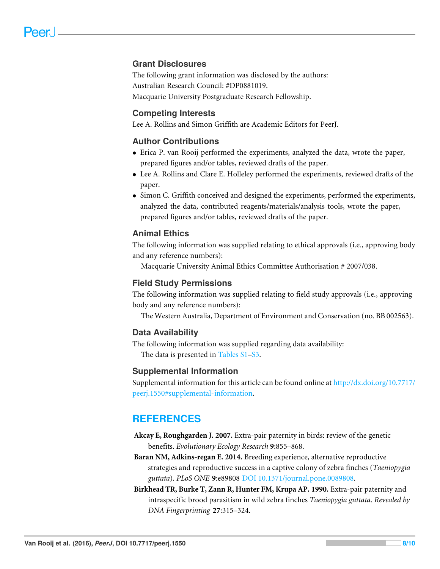## **Grant Disclosures**

The following grant information was disclosed by the authors: Australian Research Council: #DP0881019. Macquarie University Postgraduate Research Fellowship.

### **Competing Interests**

Lee A. Rollins and Simon Griffith are Academic Editors for PeerJ.

### **Author Contributions**

- [Erica P. van Rooij](#page-0-3) performed the experiments, analyzed the data, wrote the paper, prepared figures and/or tables, reviewed drafts of the paper.
- [Lee A. Rollins](#page-0-4) and [Clare E. Holleley](#page-0-5) performed the experiments, reviewed drafts of the paper.
- [Simon C. Griffith](#page-0-6) conceived and designed the experiments, performed the experiments, analyzed the data, contributed reagents/materials/analysis tools, wrote the paper, prepared figures and/or tables, reviewed drafts of the paper.

### **Animal Ethics**

The following information was supplied relating to ethical approvals (i.e., approving body and any reference numbers):

Macquarie University Animal Ethics Committee Authorisation # 2007/038.

#### **Field Study Permissions**

The following information was supplied relating to field study approvals (i.e., approving body and any reference numbers):

The Western Australia, Department of Environment and Conservation (no. BB 002563).

#### **Data Availability**

The following information was supplied regarding data availability: The data is presented in [Tables S1](http://dx.doi.org/10.7717/peerj.1550/supp-1)[–S3.](http://dx.doi.org/10.7717/peerj.1550/supp-3)

#### **Supplemental Information**

Supplemental information for this article can be found online at [http://dx.doi.org/10.7717/](http://dx.doi.org/10.7717/peerj.1550#supplemental-information) [peerj.1550#supplemental-information.](http://dx.doi.org/10.7717/peerj.1550#supplemental-information)

## **REFERENCES**

- <span id="page-7-0"></span>**Akcay E, Roughgarden J. 2007.** Extra-pair paternity in birds: review of the genetic benefits. *Evolutionary Ecology Research* **9**:855–868.
- <span id="page-7-2"></span>**Baran NM, Adkins-regan E. 2014.** Breeding experience, alternative reproductive strategies and reproductive success in a captive colony of zebra finches (*Taeniopygia guttata*). *PLoS ONE* **9**:e89808 [DOI 10.1371/journal.pone.0089808.](http://dx.doi.org/10.1371/journal.pone.0089808)
- <span id="page-7-1"></span>**Birkhead TR, Burke T, Zann R, Hunter FM, Krupa AP. 1990.** Extra-pair paternity and intraspecific brood parasitism in wild zebra finches *Taeniopygia guttata*. *Revealed by DNA Fingerprinting* **27**:315–324.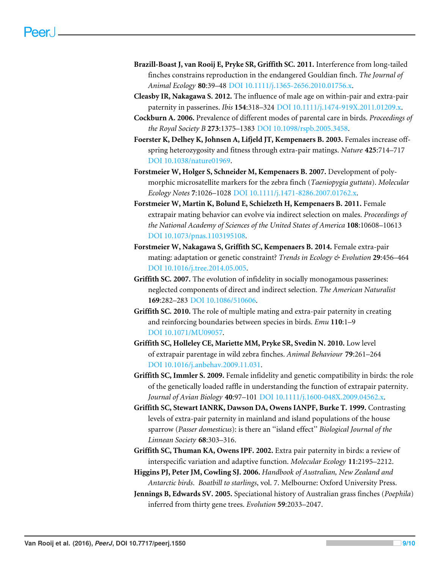- <span id="page-8-11"></span>**Brazill-Boast J, van Rooij E, Pryke SR, Griffith SC. 2011.** Interference from long-tailed finches constrains reproduction in the endangered Gouldian finch. *The Journal of Animal Ecology* **80**:39–48 [DOI 10.1111/j.1365-2656.2010.01756.x.](http://dx.doi.org/10.1111/j.1365-2656.2010.01756.x)
- <span id="page-8-7"></span>**Cleasby IR, Nakagawa S. 2012.** The influence of male age on within-pair and extra-pair paternity in passerines. *Ibis* **154**:318–324 [DOI 10.1111/j.1474-919X.2011.01209.x.](http://dx.doi.org/10.1111/j.1474-919X.2011.01209.x)
- <span id="page-8-0"></span>**Cockburn A. 2006.** Prevalence of different modes of parental care in birds. *Proceedings of the Royal Society B* **273**:1375–1383 [DOI 10.1098/rspb.2005.3458.](http://dx.doi.org/10.1098/rspb.2005.3458)
- <span id="page-8-5"></span>**Foerster K, Delhey K, Johnsen A, Lifjeld JT, Kempenaers B. 2003.** Females increase offspring heterozygosity and fitness through extra-pair matings. *Nature* **425**:714–717 [DOI 10.1038/nature01969.](http://dx.doi.org/10.1038/nature01969)
- <span id="page-8-13"></span>**Forstmeier W, Holger S, Schneider M, Kempenaers B. 2007.** Development of polymorphic microsatellite markers for the zebra finch (*Taeniopygia guttata*). *Molecular Ecology Notes* **7**:1026–1028 [DOI 10.1111/j.1471-8286.2007.01762.x.](http://dx.doi.org/10.1111/j.1471-8286.2007.01762.x)
- <span id="page-8-9"></span>**Forstmeier W, Martin K, Bolund E, Schielzeth H, Kempenaers B. 2011.** Female extrapair mating behavior can evolve via indirect selection on males. *Proceedings of the National Academy of Sciences of the United States of America* **108**:10608–10613 [DOI 10.1073/pnas.1103195108.](http://dx.doi.org/10.1073/pnas.1103195108)
- <span id="page-8-4"></span>**Forstmeier W, Nakagawa S, Griffith SC, Kempenaers B. 2014.** Female extra-pair mating: adaptation or genetic constraint? *Trends in Ecology & Evolution* **29**:456–464 [DOI 10.1016/j.tree.2014.05.005.](http://dx.doi.org/10.1016/j.tree.2014.05.005)
- <span id="page-8-3"></span>**Griffith SC. 2007.** The evolution of infidelity in socially monogamous passerines: neglected components of direct and indirect selection. *The American Naturalist* **169**:282–283 [DOI 10.1086/510606.](http://dx.doi.org/10.1086/510606)
- <span id="page-8-14"></span>**Griffith SC. 2010.** The role of multiple mating and extra-pair paternity in creating and reinforcing boundaries between species in birds. *Emu* **110**:1–9 [DOI 10.1071/MU09057.](http://dx.doi.org/10.1071/MU09057)
- <span id="page-8-8"></span>**Griffith SC, Holleley CE, Mariette MM, Pryke SR, Svedin N. 2010.** Low level of extrapair parentage in wild zebra finches. *Animal Behaviour* **79**:261–264 [DOI 10.1016/j.anbehav.2009.11.031.](http://dx.doi.org/10.1016/j.anbehav.2009.11.031)
- <span id="page-8-2"></span>**Griffith SC, Immler S. 2009.** Female infidelity and genetic compatibility in birds: the role of the genetically loaded raffle in understanding the function of extrapair paternity. *Journal of Avian Biology* **40**:97–101 [DOI 10.1111/j.1600-048X.2009.04562.x.](http://dx.doi.org/10.1111/j.1600-048X.2009.04562.x)
- <span id="page-8-6"></span>**Griffith SC, Stewart IANRK, Dawson DA, Owens IANPF, Burke T. 1999.** Contrasting levels of extra-pair paternity in mainland and island populations of the house sparrow (*Passer domesticus*): is there an ''island effect'' *Biological Journal of the Linnean Society* **68**:303–316.
- <span id="page-8-1"></span>**Griffith SC, Thuman KA, Owens IPF. 2002.** Extra pair paternity in birds: a review of interspecific variation and adaptive function. *Molecular Ecology* **11**:2195–2212.
- <span id="page-8-12"></span>**Higgins PJ, Peter JM, Cowling SJ. 2006.** *Handbook of Australian, New Zealand and Antarctic birds*. *Boatbill to starlings*, vol. 7. Melbourne: Oxford University Press.
- <span id="page-8-10"></span>**Jennings B, Edwards SV. 2005.** Speciational history of Australian grass finches (*Poephila*) inferred from thirty gene trees. *Evolution* **59**:2033–2047.